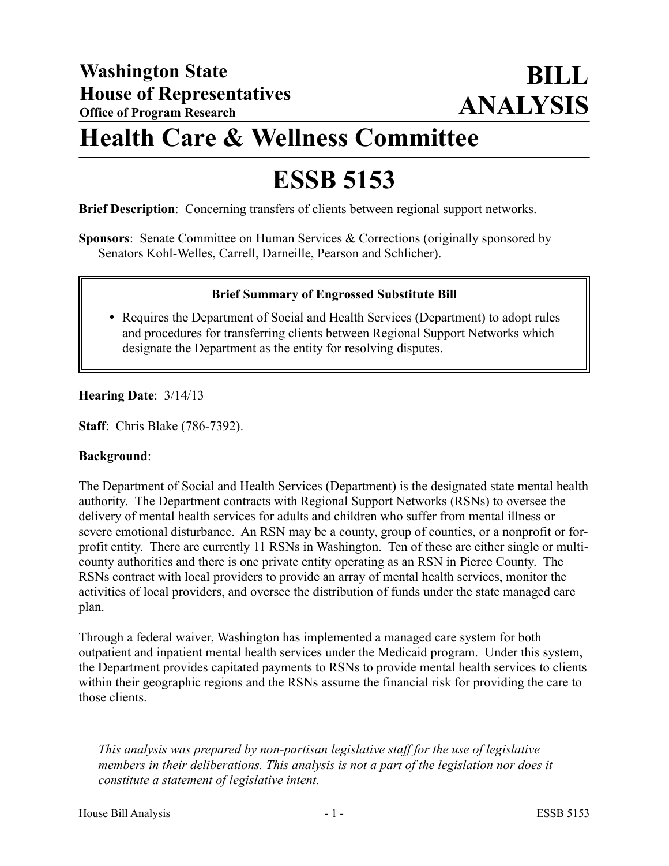# **Health Care & Wellness Committee**

# **ESSB 5153**

**Brief Description**: Concerning transfers of clients between regional support networks.

**Sponsors**: Senate Committee on Human Services & Corrections (originally sponsored by Senators Kohl-Welles, Carrell, Darneille, Pearson and Schlicher).

## **Brief Summary of Engrossed Substitute Bill**

 Requires the Department of Social and Health Services (Department) to adopt rules and procedures for transferring clients between Regional Support Networks which designate the Department as the entity for resolving disputes.

#### **Hearing Date**: 3/14/13

**Staff**: Chris Blake (786-7392).

#### **Background**:

The Department of Social and Health Services (Department) is the designated state mental health authority. The Department contracts with Regional Support Networks (RSNs) to oversee the delivery of mental health services for adults and children who suffer from mental illness or severe emotional disturbance. An RSN may be a county, group of counties, or a nonprofit or forprofit entity. There are currently 11 RSNs in Washington. Ten of these are either single or multicounty authorities and there is one private entity operating as an RSN in Pierce County. The RSNs contract with local providers to provide an array of mental health services, monitor the activities of local providers, and oversee the distribution of funds under the state managed care plan.

Through a federal waiver, Washington has implemented a managed care system for both outpatient and inpatient mental health services under the Medicaid program. Under this system, the Department provides capitated payments to RSNs to provide mental health services to clients within their geographic regions and the RSNs assume the financial risk for providing the care to those clients.

––––––––––––––––––––––

*This analysis was prepared by non-partisan legislative staff for the use of legislative members in their deliberations. This analysis is not a part of the legislation nor does it constitute a statement of legislative intent.*